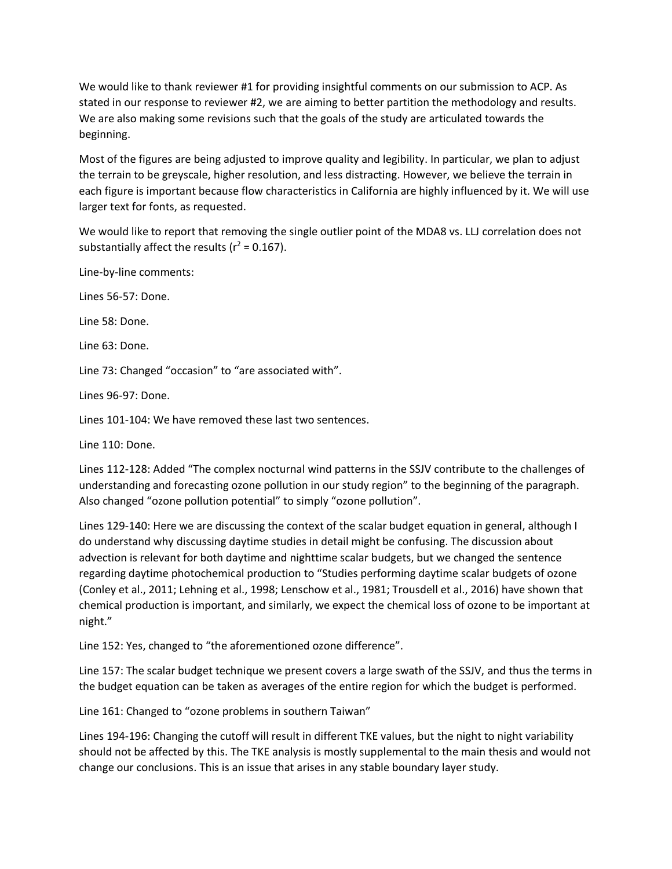We would like to thank reviewer #1 for providing insightful comments on our submission to ACP. As stated in our response to reviewer #2, we are aiming to better partition the methodology and results. We are also making some revisions such that the goals of the study are articulated towards the beginning.

Most of the figures are being adjusted to improve quality and legibility. In particular, we plan to adjust the terrain to be greyscale, higher resolution, and less distracting. However, we believe the terrain in each figure is important because flow characteristics in California are highly influenced by it. We will use larger text for fonts, as requested.

We would like to report that removing the single outlier point of the MDA8 vs. LLJ correlation does not substantially affect the results ( $r^2$  = 0.167).

Line-by-line comments:

Lines 56-57: Done.

Line 58: Done.

Line 63: Done.

Line 73: Changed "occasion" to "are associated with".

Lines 96-97: Done.

Lines 101-104: We have removed these last two sentences.

Line 110: Done.

Lines 112-128: Added "The complex nocturnal wind patterns in the SSJV contribute to the challenges of understanding and forecasting ozone pollution in our study region" to the beginning of the paragraph. Also changed "ozone pollution potential" to simply "ozone pollution".

Lines 129-140: Here we are discussing the context of the scalar budget equation in general, although I do understand why discussing daytime studies in detail might be confusing. The discussion about advection is relevant for both daytime and nighttime scalar budgets, but we changed the sentence regarding daytime photochemical production to "Studies performing daytime scalar budgets of ozone (Conley et al., 2011; Lehning et al., 1998; Lenschow et al., 1981; Trousdell et al., 2016) have shown that chemical production is important, and similarly, we expect the chemical loss of ozone to be important at night."

Line 152: Yes, changed to "the aforementioned ozone difference".

Line 157: The scalar budget technique we present covers a large swath of the SSJV, and thus the terms in the budget equation can be taken as averages of the entire region for which the budget is performed.

Line 161: Changed to "ozone problems in southern Taiwan"

Lines 194-196: Changing the cutoff will result in different TKE values, but the night to night variability should not be affected by this. The TKE analysis is mostly supplemental to the main thesis and would not change our conclusions. This is an issue that arises in any stable boundary layer study.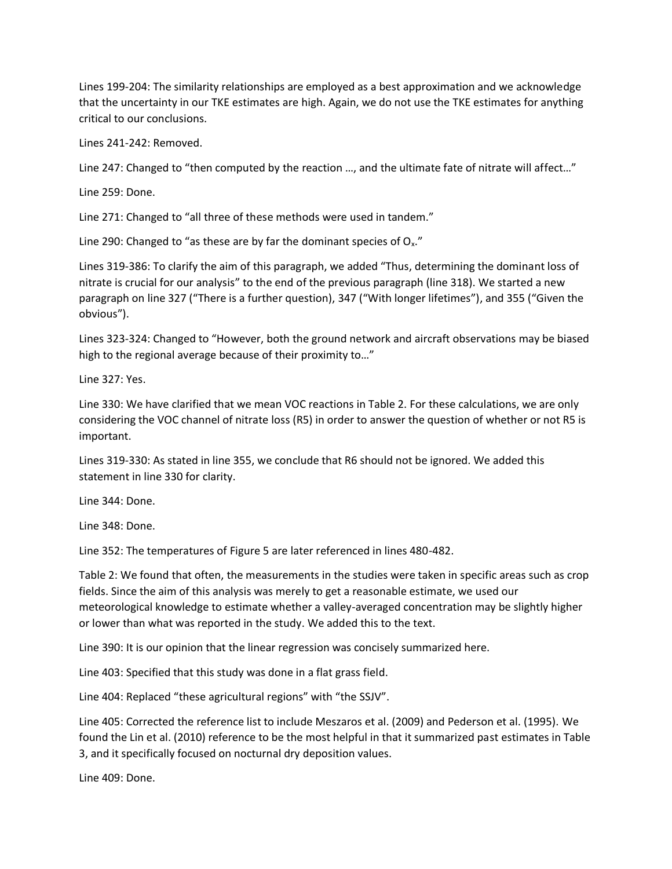Lines 199-204: The similarity relationships are employed as a best approximation and we acknowledge that the uncertainty in our TKE estimates are high. Again, we do not use the TKE estimates for anything critical to our conclusions.

Lines 241-242: Removed.

Line 247: Changed to "then computed by the reaction ..., and the ultimate fate of nitrate will affect..."

Line 259: Done.

Line 271: Changed to "all three of these methods were used in tandem."

Line 290: Changed to "as these are by far the dominant species of  $O_x$ ."

Lines 319-386: To clarify the aim of this paragraph, we added "Thus, determining the dominant loss of nitrate is crucial for our analysis" to the end of the previous paragraph (line 318). We started a new paragraph on line 327 ("There is a further question), 347 ("With longer lifetimes"), and 355 ("Given the obvious").

Lines 323-324: Changed to "However, both the ground network and aircraft observations may be biased high to the regional average because of their proximity to…"

Line 327: Yes.

Line 330: We have clarified that we mean VOC reactions in Table 2. For these calculations, we are only considering the VOC channel of nitrate loss (R5) in order to answer the question of whether or not R5 is important.

Lines 319-330: As stated in line 355, we conclude that R6 should not be ignored. We added this statement in line 330 for clarity.

Line 344: Done.

Line 348: Done.

Line 352: The temperatures of Figure 5 are later referenced in lines 480-482.

Table 2: We found that often, the measurements in the studies were taken in specific areas such as crop fields. Since the aim of this analysis was merely to get a reasonable estimate, we used our meteorological knowledge to estimate whether a valley-averaged concentration may be slightly higher or lower than what was reported in the study. We added this to the text.

Line 390: It is our opinion that the linear regression was concisely summarized here.

Line 403: Specified that this study was done in a flat grass field.

Line 404: Replaced "these agricultural regions" with "the SSJV".

Line 405: Corrected the reference list to include Meszaros et al. (2009) and Pederson et al. (1995). We found the Lin et al. (2010) reference to be the most helpful in that it summarized past estimates in Table 3, and it specifically focused on nocturnal dry deposition values.

Line 409: Done.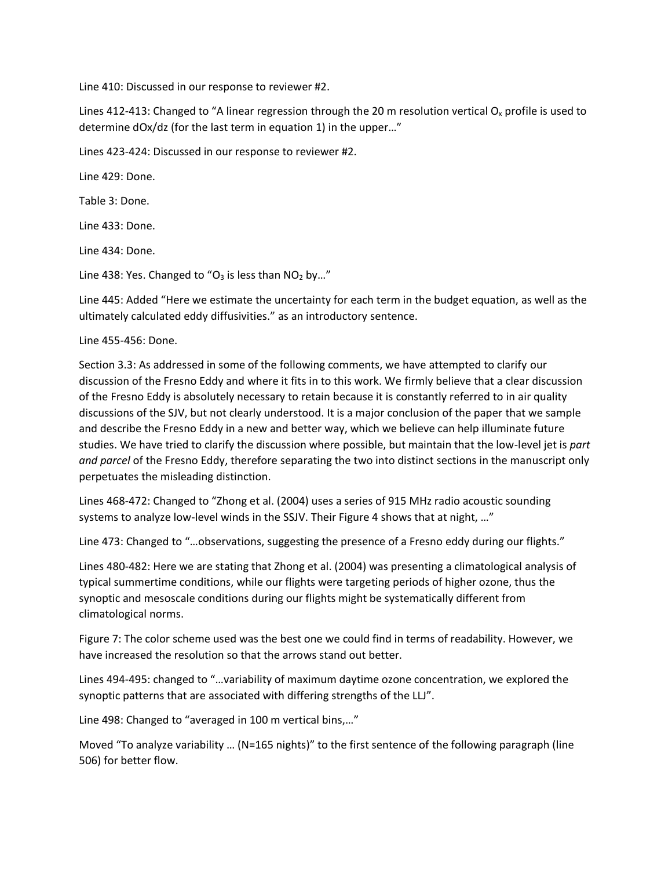Line 410: Discussed in our response to reviewer #2.

Lines 412-413: Changed to "A linear regression through the 20 m resolution vertical  $O_x$  profile is used to determine dOx/dz (for the last term in equation 1) in the upper…"

Lines 423-424: Discussed in our response to reviewer #2.

Line 429: Done.

Table 3: Done.

Line 433: Done.

Line 434: Done.

Line 438: Yes. Changed to " $O_3$  is less than  $NO_2$  by..."

Line 445: Added "Here we estimate the uncertainty for each term in the budget equation, as well as the ultimately calculated eddy diffusivities." as an introductory sentence.

Line 455-456: Done.

Section 3.3: As addressed in some of the following comments, we have attempted to clarify our discussion of the Fresno Eddy and where it fits in to this work. We firmly believe that a clear discussion of the Fresno Eddy is absolutely necessary to retain because it is constantly referred to in air quality discussions of the SJV, but not clearly understood. It is a major conclusion of the paper that we sample and describe the Fresno Eddy in a new and better way, which we believe can help illuminate future studies. We have tried to clarify the discussion where possible, but maintain that the low-level jet is *part and parcel* of the Fresno Eddy, therefore separating the two into distinct sections in the manuscript only perpetuates the misleading distinction.

Lines 468-472: Changed to "Zhong et al. (2004) uses a series of 915 MHz radio acoustic sounding systems to analyze low-level winds in the SSJV. Their Figure 4 shows that at night, …"

Line 473: Changed to "…observations, suggesting the presence of a Fresno eddy during our flights."

Lines 480-482: Here we are stating that Zhong et al. (2004) was presenting a climatological analysis of typical summertime conditions, while our flights were targeting periods of higher ozone, thus the synoptic and mesoscale conditions during our flights might be systematically different from climatological norms.

Figure 7: The color scheme used was the best one we could find in terms of readability. However, we have increased the resolution so that the arrows stand out better.

Lines 494-495: changed to "…variability of maximum daytime ozone concentration, we explored the synoptic patterns that are associated with differing strengths of the LLJ".

Line 498: Changed to "averaged in 100 m vertical bins,…"

Moved "To analyze variability … (N=165 nights)" to the first sentence of the following paragraph (line 506) for better flow.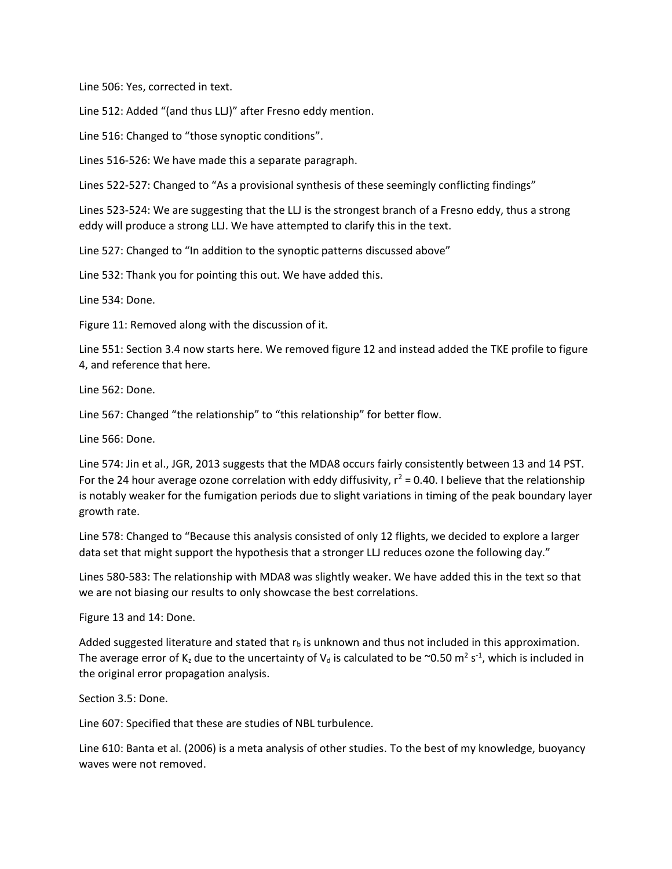Line 506: Yes, corrected in text.

Line 512: Added "(and thus LLJ)" after Fresno eddy mention.

Line 516: Changed to "those synoptic conditions".

Lines 516-526: We have made this a separate paragraph.

Lines 522-527: Changed to "As a provisional synthesis of these seemingly conflicting findings"

Lines 523-524: We are suggesting that the LLJ is the strongest branch of a Fresno eddy, thus a strong eddy will produce a strong LLJ. We have attempted to clarify this in the text.

Line 527: Changed to "In addition to the synoptic patterns discussed above"

Line 532: Thank you for pointing this out. We have added this.

Line 534: Done.

Figure 11: Removed along with the discussion of it.

Line 551: Section 3.4 now starts here. We removed figure 12 and instead added the TKE profile to figure 4, and reference that here.

Line 562: Done.

Line 567: Changed "the relationship" to "this relationship" for better flow.

Line 566: Done.

Line 574: Jin et al., JGR, 2013 suggests that the MDA8 occurs fairly consistently between 13 and 14 PST. For the 24 hour average ozone correlation with eddy diffusivity,  $r^2$  = 0.40. I believe that the relationship is notably weaker for the fumigation periods due to slight variations in timing of the peak boundary layer growth rate.

Line 578: Changed to "Because this analysis consisted of only 12 flights, we decided to explore a larger data set that might support the hypothesis that a stronger LLJ reduces ozone the following day."

Lines 580-583: The relationship with MDA8 was slightly weaker. We have added this in the text so that we are not biasing our results to only showcase the best correlations.

Figure 13 and 14: Done.

Added suggested literature and stated that  $r<sub>b</sub>$  is unknown and thus not included in this approximation. The average error of K<sub>z</sub> due to the uncertainty of V<sub>d</sub> is calculated to be ~0.50 m<sup>2</sup> s<sup>-1</sup>, which is included in the original error propagation analysis.

Section 3.5: Done.

Line 607: Specified that these are studies of NBL turbulence.

Line 610: Banta et al. (2006) is a meta analysis of other studies. To the best of my knowledge, buoyancy waves were not removed.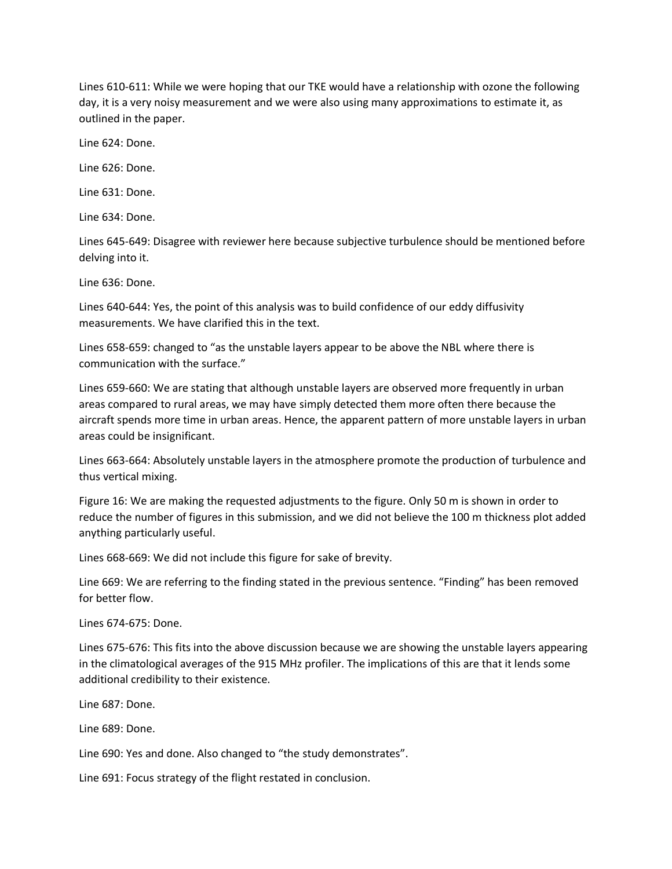Lines 610-611: While we were hoping that our TKE would have a relationship with ozone the following day, it is a very noisy measurement and we were also using many approximations to estimate it, as outlined in the paper.

Line 624: Done.

Line 626: Done.

Line 631: Done.

Line 634: Done.

Lines 645-649: Disagree with reviewer here because subjective turbulence should be mentioned before delving into it.

Line 636: Done.

Lines 640-644: Yes, the point of this analysis was to build confidence of our eddy diffusivity measurements. We have clarified this in the text.

Lines 658-659: changed to "as the unstable layers appear to be above the NBL where there is communication with the surface."

Lines 659-660: We are stating that although unstable layers are observed more frequently in urban areas compared to rural areas, we may have simply detected them more often there because the aircraft spends more time in urban areas. Hence, the apparent pattern of more unstable layers in urban areas could be insignificant.

Lines 663-664: Absolutely unstable layers in the atmosphere promote the production of turbulence and thus vertical mixing.

Figure 16: We are making the requested adjustments to the figure. Only 50 m is shown in order to reduce the number of figures in this submission, and we did not believe the 100 m thickness plot added anything particularly useful.

Lines 668-669: We did not include this figure for sake of brevity.

Line 669: We are referring to the finding stated in the previous sentence. "Finding" has been removed for better flow.

Lines 674-675: Done.

Lines 675-676: This fits into the above discussion because we are showing the unstable layers appearing in the climatological averages of the 915 MHz profiler. The implications of this are that it lends some additional credibility to their existence.

Line 687: Done.

Line 689: Done.

Line 690: Yes and done. Also changed to "the study demonstrates".

Line 691: Focus strategy of the flight restated in conclusion.